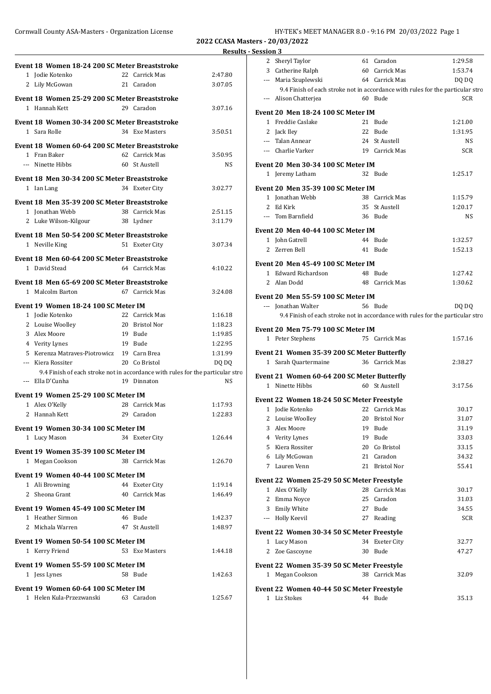## Cornwall County ASA-Masters - Organization License **HY-TEK's MEET MANAGER 8.0 - 9:16 PM 20/03/2022** Page 1

**2022 CCASA Masters - 20/03/2022**

|                                                                                |                | <b>Results - Ses</b> |    |
|--------------------------------------------------------------------------------|----------------|----------------------|----|
| Event 18 Women 18-24 200 SC Meter Breaststroke                                 |                |                      |    |
| 1 Jodie Kotenko                                                                | 22 Carrick Mas | 2:47.80              |    |
| 21 Caradon<br>2 Lily McGowan                                                   |                | 3:07.05              |    |
|                                                                                |                |                      |    |
| Event 18 Women 25-29 200 SC Meter Breaststroke                                 |                |                      |    |
| 1 Hannah Kett                                                                  | 29 Caradon     | 3:07.16              | E۱ |
| Event 18 Women 30-34 200 SC Meter Breaststroke                                 |                |                      |    |
| 1 Sara Rolle                                                                   | 34 Exe Masters | 3:50.51              |    |
|                                                                                |                |                      |    |
| Event 18 Women 60-64 200 SC Meter Breaststroke                                 |                |                      |    |
| 1 Fran Baker                                                                   | 62 Carrick Mas | 3:50.95              |    |
| --- Ninette Hibbs                                                              | 60 St Austell  | <b>NS</b>            | E۱ |
|                                                                                |                |                      |    |
| Event 18 Men 30-34 200 SC Meter Breaststroke                                   |                |                      |    |
| 1 Ian Lang                                                                     | 34 Exeter City | 3:02.77              | E۱ |
| Event 18 Men 35-39 200 SC Meter Breaststroke                                   |                |                      |    |
| 1 Jonathan Webb                                                                | 38 Carrick Mas | 2:51.15              |    |
| 2 Luke Wilson-Kilgour                                                          | 38 Lydner      | 3:11.79              |    |
|                                                                                |                |                      | E۱ |
| Event 18 Men 50-54 200 SC Meter Breaststroke                                   |                |                      |    |
| 1 Neville King                                                                 | 51 Exeter City | 3:07.34              |    |
| Event 18 Men 60-64 200 SC Meter Breaststroke                                   |                |                      |    |
| 1 David Stead                                                                  | 64 Carrick Mas | 4:10.22              | E۱ |
|                                                                                |                |                      |    |
| Event 18 Men 65-69 200 SC Meter Breaststroke                                   |                |                      |    |
| 1 Malcolm Barton                                                               | 67 Carrick Mas | 3:24.08              | E١ |
| Event 19 Women 18-24 100 SC Meter IM                                           |                |                      |    |
| 1 Jodie Kotenko                                                                | 22 Carrick Mas | 1:16.18              |    |
| 2 Louise Woolley                                                               | 20 Bristol Nor | 1:18.23              |    |
| 3 Alex Moore                                                                   | 19 Bude        | 1:19.85              | E١ |
| 4 Verity Lynes                                                                 | 19 Bude        | 1:22.95              |    |
| 5 Kerenza Matraves-Piotrowicz 19 Carn Brea                                     |                | 1:31.99              | E۱ |
| --- Kiera Rossiter                                                             | 20 Co Bristol  | DQ DQ                |    |
| 9.4 Finish of each stroke not in accordance with rules for the particular stro |                |                      |    |
| --- Ella D'Cunha                                                               | 19 Dinnaton    | <b>NS</b>            | E۱ |
|                                                                                |                |                      |    |
| Event 19 Women 25-29 100 SC Meter IM                                           |                |                      | E۱ |
| 1 Alex O'Kelly                                                                 | 28 Carrick Mas | 1:17.93              |    |
| 2 Hannah Kett                                                                  | 29 Caradon     | 1:22.83              |    |
| Event 19 Women 30-34 100 SC Meter IM                                           |                |                      |    |
| 1 Lucy Mason                                                                   | 34 Exeter City | 1:26.44              |    |
|                                                                                |                |                      |    |
| Event 19 Women 35-39 100 SC Meter IM                                           |                |                      |    |
| 1 Megan Cookson 38 Carrick Mas                                                 |                | 1:26.70              |    |
| Event 19 Women 40-44 100 SC Meter IM                                           |                |                      |    |
| 1 Ali Browning                                                                 | 44 Exeter City | 1:19.14              | E١ |
| 2 Sheona Grant                                                                 | 40 Carrick Mas | 1:46.49              |    |
|                                                                                |                |                      |    |
| Event 19 Women 45-49 100 SC Meter IM                                           |                |                      |    |
| 1 Heather Sirmon                                                               | 46 Bude        | 1:42.37              |    |
| 2 Michala Warren                                                               | 47 St Austell  | 1:48.97              | Еу |
| Event 19 Women 50-54 100 SC Meter IM                                           |                |                      |    |
| 1 Kerry Friend                                                                 | 53 Exe Masters | 1:44.18              |    |
|                                                                                |                |                      |    |
| Event 19 Women 55-59 100 SC Meter IM                                           |                |                      | E۱ |
| 1 Jess Lynes                                                                   | 58 Bude        | 1:42.63              |    |
| Event 19 Women 60-64 100 SC Meter IM                                           |                |                      | E۱ |
| 1 Helen Kula-Przezwanski 63 Caradon                                            |                | 1:25.67              |    |
|                                                                                |                |                      |    |

|                 | <b>Results - Session 3</b>                  |                |                |                                                                                |
|-----------------|---------------------------------------------|----------------|----------------|--------------------------------------------------------------------------------|
|                 | 2 Sheryl Taylor                             |                | 61 Caradon     | 1:29.58                                                                        |
| .80             | 3 Catherine Ralph                           | 60 Carrick Mas |                | 1:53.74                                                                        |
| .05             | --- Maria Szuplewski                        |                | 64 Carrick Mas | DQ DQ                                                                          |
|                 |                                             |                |                | 9.4 Finish of each stroke not in accordance with rules for the particular stro |
|                 | --- Alison Chatterjea                       |                | 60 Bude        | <b>SCR</b>                                                                     |
| $^{\prime}$ .16 | Event 20 Men 18-24 100 SC Meter IM          |                |                |                                                                                |
|                 | 1 Freddie Caslake                           |                | 21 Bude        | 1:21.00                                                                        |
| 1.51            | 2 Jack Iley                                 |                | 22 Bude        | 1:31.95                                                                        |
|                 | --- Talan Annear                            |                | 24 St Austell  | <b>NS</b>                                                                      |
|                 | --- Charlie Varker                          | 19 Carrick Mas |                | <b>SCR</b>                                                                     |
| ).95            |                                             |                |                |                                                                                |
| NS              | Event 20 Men 30-34 100 SC Meter IM          |                |                |                                                                                |
|                 | 1 Jeremy Latham                             |                | 32 Bude        | 1:25.17                                                                        |
| 2.77            | Event 20 Men 35-39 100 SC Meter IM          |                |                |                                                                                |
|                 | 1 Jonathan Webb                             |                | 38 Carrick Mas | 1:15.79                                                                        |
| l.15            | 2 Ed Kirk                                   |                | 35 St Austell  | 1:20.17                                                                        |
| L.79            | --- Tom Barnfield                           |                | 36 Bude        | <b>NS</b>                                                                      |
|                 | Event 20 Men 40-44 100 SC Meter IM          |                |                |                                                                                |
|                 | 1 John Gatrell                              |                | 44 Bude        | 1:32.57                                                                        |
| '.34            | 2 Zerren Bell                               |                | 41 Bude        | 1:52.13                                                                        |
|                 |                                             |                |                |                                                                                |
| 0.22            | Event 20 Men 45-49 100 SC Meter IM          |                |                |                                                                                |
|                 | 1 Edward Richardson                         |                | 48 Bude        | 1:27.42                                                                        |
|                 | 2 Alan Dodd                                 |                | 48 Carrick Mas | 1:30.62                                                                        |
| l.08            | Event 20 Men 55-59 100 SC Meter IM          |                |                |                                                                                |
|                 | --- Jonathan Walter                         |                | 56 Bude        | DQ DQ                                                                          |
| 5.18            |                                             |                |                | 9.4 Finish of each stroke not in accordance with rules for the particular stro |
| 3.23            |                                             |                |                |                                                                                |
| 1.85            | Event 20 Men 75-79 100 SC Meter IM          |                |                |                                                                                |
| 2.95            | 1 Peter Stephens                            |                | 75 Carrick Mas | 1:57.16                                                                        |
| L.99            | Event 21 Women 35-39 200 SC Meter Butterfly |                |                |                                                                                |
| DQ              | 1 Sarah Quartermaine 36 Carrick Mas         |                |                | 2:38.27                                                                        |
| lar stro        | Event 21 Women 60-64 200 SC Meter Butterfly |                |                |                                                                                |
| <b>NS</b>       | 1 Ninette Hibbs                             |                | 60 St Austell  | 3:17.56                                                                        |
|                 |                                             |                |                |                                                                                |
| 1.93            | Event 22 Women 18-24 50 SC Meter Freestyle  |                |                |                                                                                |
| 2.83            | 1 Jodie Kotenko                             |                | 22 Carrick Mas | 30.17                                                                          |
|                 | 2 Louise Woolley 20 Bristol Nor             |                |                | 31.07                                                                          |
|                 | 3 Alex Moore                                |                | 19 Bude        | 31.19                                                                          |
| 5.44            | 4 Verity Lynes                              |                | 19 Bude        | 33.03                                                                          |
|                 | 5 Kiera Rossiter                            |                | 20 Co Bristol  | 33.15                                                                          |
| 5.70            | 6 Lily McGowan                              |                | 21 Caradon     | 34.32                                                                          |
|                 | 7 Lauren Venn                               |                | 21 Bristol Nor | 55.41                                                                          |
| 14 (            | Event 22 Women 25-29 50 SC Meter Freestyle  |                |                |                                                                                |
| 5.49            | 1 Alex O'Kelly                              |                | 28 Carrick Mas | 30.17                                                                          |
|                 | 2 Emma Novce                                |                | 25 Caradon     | 31.03                                                                          |
|                 | 3 Emily White                               |                | 27 Bude        | 34.55                                                                          |
| 2.37            | --- Holly Keevil                            |                | 27 Reading     | <b>SCR</b>                                                                     |
| 3.97            | Event 22 Women 30-34 50 SC Meter Freestyle  |                |                |                                                                                |
|                 | 1 Lucy Mason                                |                | 34 Exeter City | 32.77                                                                          |
| 4.18            | 2 Zoe Gascoyne                              |                | 30 Bude        | 47.27                                                                          |
|                 |                                             |                |                |                                                                                |
|                 | Event 22 Women 35-39 50 SC Meter Freestyle  |                |                |                                                                                |
| 2.63            | 1 Megan Cookson                             |                | 38 Carrick Mas | 32.09                                                                          |
|                 | Event 22 Women 40-44 50 SC Meter Freestyle  |                |                |                                                                                |
| 5.67            | 1 Liz Stokes                                |                | 44 Bude        | 35.13                                                                          |
|                 |                                             |                |                |                                                                                |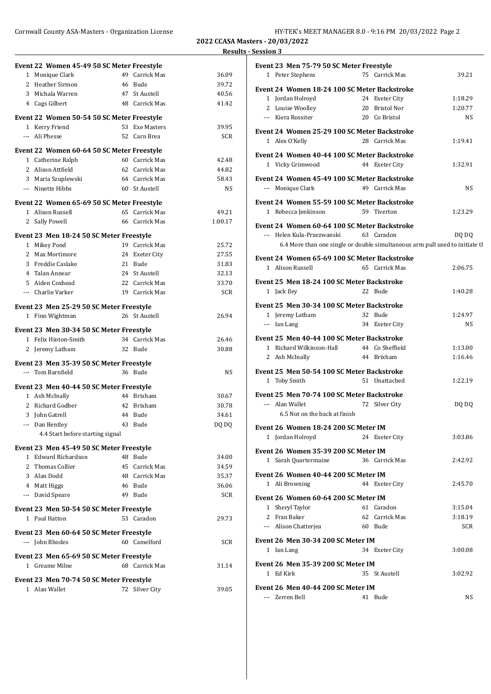Cornwall County ASA-Masters - Organization License **HY-TEK's MEET MANAGER 8.0 - 9:16 PM 20/03/2022** Page 2

**2022 CCASA Masters - 20/03/2022 Results - Session 3**

|                                                                  |                | $\cdots$ |
|------------------------------------------------------------------|----------------|----------|
| Event 22 Women 45-49 50 SC Meter Freestyle                       |                |          |
| 1 Monique Clark                                                  | 49 Carrick Mas | 36.09    |
| 2 Heather Sirmon                                                 | 46 Bude        | 39.72    |
| 3 Michala Warren                                                 | 47 St Austell  | 40.56    |
| 4 Cags Gilbert                                                   | 48 Carrick Mas | 41.42    |
| Event 22 Women 50-54 50 SC Meter Freestyle                       |                |          |
| 1 Kerry Friend                                                   | 53 Exe Masters | 39.95    |
| --- Ali Phesse                                                   | 52 Carn Brea   | SCR      |
| Event 22 Women 60-64 50 SC Meter Freestyle                       |                |          |
| 1 Catherine Ralph                                                | 60 Carrick Mas | 42.48    |
| 2 Alison Attfield                                                | 62 Carrick Mas | 44.82    |
| 3 Maria Szuplewski                                               | 64 Carrick Mas | 58.43    |
| --- Ninette Hibbs                                                | 60 St Austell  | NS       |
| Event 22 Women 65-69 50 SC Meter Freestyle                       |                |          |
| 1 Alison Russell                                                 | 65 Carrick Mas | 49.21    |
| 2 Sally Powell                                                   | 66 Carrick Mas | 1:00.17  |
| Event 23 Men 18-24 50 SC Meter Freestyle                         |                |          |
| 1 Mikey Pond                                                     | 19 Carrick Mas | 25.72    |
| 2 Max Mortimore                                                  | 24 Exeter City | 27.55    |
| 3 Freddie Caslake                                                | 21 Bude        | 31.83    |
| 4 Talan Annear                                                   | 24 St Austell  | 32.13    |
| 5 Aiden Coxhead                                                  | 22 Carrick Mas | 33.70    |
| --- Charlie Varker                                               | 19 Carrick Mas | SCR      |
| Event 23 Men 25-29 50 SC Meter Freestyle                         |                |          |
| 1 Finn Wightman                                                  | 26 St Austell  | 26.94    |
|                                                                  |                |          |
| Event 23 Men 30-34 50 SC Meter Freestyle<br>1 Felix Hinton-Smith | 34 Carrick Mas | 26.46    |
|                                                                  | 32 Bude        |          |
| 2 Jeremy Latham                                                  |                | 30.88    |
| Event 23 Men 35-39 50 SC Meter Freestyle                         |                |          |
| --- Tom Barnfield                                                | 36 Bude        | NS       |
| Event 23 Men 40-44 50 SC Meter Freestyle                         |                |          |
| 1 Ash McInally                                                   | 44 Brixham     | 30.67    |
| 2 Richard Godber                                                 | 42 Brixham     | 30.78    |
| 3 John Gatrell                                                   | 44 Bude        | 34.61    |
| --- Dan Bentley                                                  | 43 Bude        | DQ DQ    |
| 4.4 Start before starting signal                                 |                |          |
| Event 23 Men 45-49 50 SC Meter Freestyle                         |                |          |
| 1 Edward Richardson                                              | 48 Bude        | 34.00    |
| 2 Thomas Collier                                                 | 45 Carrick Mas | 34.59    |
| 3 Alan Dodd                                                      | 48 Carrick Mas | 35.37    |
| 4 Matt Higgs                                                     | 46 Bude        | 36.06    |
| --- David Speare                                                 | 49 Bude        | SCR      |
| Event 23 Men 50-54 50 SC Meter Freestyle                         |                |          |
| 1 Paul Hatton                                                    | 53 Caradon     | 29.73    |
| Event 23 Men 60-64 50 SC Meter Freestyle                         |                |          |
| --- John Rhodes                                                  | 60 Camelford   | SCR      |
| Event 23 Men 65-69 50 SC Meter Freestyle                         |                |          |
| 1 Greame Milne                                                   | 68 Carrick Mas | 31.14    |
| Event 23 Men 70-74 50 SC Meter Freestyle                         |                |          |
| 1 Alan Wallet                                                    | 72 Silver City | 39.05    |
|                                                                  |                |          |

| 75 Carrick Mas                                                                           |            |  |  |  |  |
|------------------------------------------------------------------------------------------|------------|--|--|--|--|
| 1 Peter Stephens                                                                         | 39.21      |  |  |  |  |
| Event 24 Women 18-24 100 SC Meter Backstroke                                             |            |  |  |  |  |
| 1 Jordan Holroyd<br>24 Exeter City                                                       | 1:18.29    |  |  |  |  |
| 2 Louise Woolley<br>20 Bristol Nor                                                       | 1:20.77    |  |  |  |  |
| --- Kiera Rossiter<br>20 Co Bristol                                                      | NS         |  |  |  |  |
|                                                                                          |            |  |  |  |  |
| Event 24 Women 25-29 100 SC Meter Backstroke                                             |            |  |  |  |  |
| 1 Alex O'Kelly<br>28 Carrick Mas                                                         | 1:19.41    |  |  |  |  |
| Event 24 Women 40-44 100 SC Meter Backstroke                                             |            |  |  |  |  |
| 1 Vicky Grimwood<br>44 Exeter City                                                       | 1:32.91    |  |  |  |  |
|                                                                                          |            |  |  |  |  |
| Event 24 Women 45-49 100 SC Meter Backstroke                                             |            |  |  |  |  |
| --- Monique Clark<br>49 Carrick Mas                                                      | <b>NS</b>  |  |  |  |  |
| Event 24 Women 55-59 100 SC Meter Backstroke                                             |            |  |  |  |  |
| 1 Rebecca Jenkinson<br>59 Tiverton                                                       | 1:23.29    |  |  |  |  |
|                                                                                          |            |  |  |  |  |
| Event 24 Women 60-64 100 SC Meter Backstroke<br>--- Helen Kula-Przezwanski<br>63 Caradon | DQ DQ      |  |  |  |  |
| 6.4 More than one single or double simultaneous arm pull used to initiate th             |            |  |  |  |  |
|                                                                                          |            |  |  |  |  |
| Event 24 Women 65-69 100 SC Meter Backstroke                                             |            |  |  |  |  |
| 1 Alison Russell<br>65 Carrick Mas                                                       | 2:06.75    |  |  |  |  |
| Event 25 Men 18-24 100 SC Meter Backstroke                                               |            |  |  |  |  |
| 1 Jack Iley<br>22 Bude                                                                   | 1:40.28    |  |  |  |  |
|                                                                                          |            |  |  |  |  |
| Event 25 Men 30-34 100 SC Meter Backstroke                                               |            |  |  |  |  |
| 1 Jeremy Latham<br>32 Bude                                                               | 1:24.97    |  |  |  |  |
| --- Ian Lang<br>34 Exeter City                                                           | NS         |  |  |  |  |
| Event 25 Men 40-44 100 SC Meter Backstroke                                               |            |  |  |  |  |
| 1 Richard Wilkinson-Hall 44 Co Sheffield                                                 | 1:13.00    |  |  |  |  |
| 44 Brixham<br>2 Ash McInally                                                             | 1:16.46    |  |  |  |  |
|                                                                                          |            |  |  |  |  |
| Event 25 Men 50-54 100 SC Meter Backstroke                                               |            |  |  |  |  |
| 1 Toby Smith<br>51 Unattached                                                            | 1:22.19    |  |  |  |  |
| Event 25 Men 70-74 100 SC Meter Backstroke                                               |            |  |  |  |  |
|                                                                                          |            |  |  |  |  |
| --- Alan Wallet<br>72 Silver City                                                        | DQ DQ      |  |  |  |  |
| 6.5 Not on the back at finish                                                            |            |  |  |  |  |
|                                                                                          |            |  |  |  |  |
| Event 26 Women 18-24 200 SC Meter IM                                                     |            |  |  |  |  |
| 1 Jordan Holroyd<br>24 Exeter City                                                       | 3:03.86    |  |  |  |  |
| Event 26 Women 35-39 200 SC Meter IM                                                     |            |  |  |  |  |
| 36 Carrick Mas<br>1 Sarah Quartermaine                                                   | 2:42.92    |  |  |  |  |
|                                                                                          |            |  |  |  |  |
| Event 26 Women 40-44 200 SC Meter IM                                                     |            |  |  |  |  |
| 1 Ali Browning<br>44 Exeter City                                                         | 2:45.70    |  |  |  |  |
| Event 26 Women 60-64 200 SC Meter IM                                                     |            |  |  |  |  |
| 1 Sheryl Taylor<br>61 Caradon                                                            | 3:15.04    |  |  |  |  |
| 2 Fran Baker<br>62 Carrick Mas                                                           | 3:18.19    |  |  |  |  |
| --- Alison Chatterjea<br>60 Bude                                                         | <b>SCR</b> |  |  |  |  |
| <b>Event 26 Men 30-34 200 SC Meter IM</b>                                                |            |  |  |  |  |
| 1 Ian Lang<br>34 Exeter City                                                             | 3:00.08    |  |  |  |  |
|                                                                                          |            |  |  |  |  |
| <b>Event 26 Men 35-39 200 SC Meter IM</b>                                                |            |  |  |  |  |
| 1 Ed Kirk<br>35 St Austell                                                               | 3:02.92    |  |  |  |  |
| Event 26 Men 40-44 200 SC Meter IM                                                       |            |  |  |  |  |
| --- Zerren Bell<br>41 Bude                                                               | NS.        |  |  |  |  |